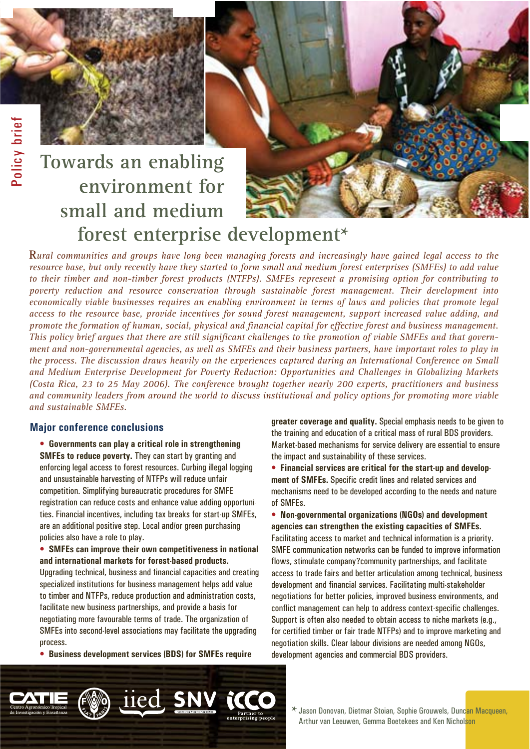# **forest enterprise development\* Towards an enabling environment for small and medium**

**R***ural communities and groups have long been managing forests and increasingly have gained legal access to the resource base, but only recently have they started to form small and medium forest enterprises (SMFEs) to add value to their timber and non-timber forest products (NTFPs). SMFEs represent a promising option for contributing to poverty reduction and resource conservation through sustainable forest management. Their development into economically viable businesses requires an enabling environment in terms of laws and policies that promote legal access to the resource base, provide incentives for sound forest management, support increased value adding, and promote the formation of human, social, physical and financial capital for effective forest and business management. This policy brief argues that there are still significant challenges to the promotion of viable SMFEs and that government and non-governmental agencies, as well as SMFEs and their business partners, have important roles to play in the process. The discussion draws heavily on the experiences captured during an International Conference on Small and Medium Enterprise Development for Poverty Reduction: Opportunities and Challenges in Globalizing Markets (Costa Rica, 23 to 25 May 2006). The conference brought together nearly 200 experts, practitioners and business and community leaders from around the world to discuss institutional and policy options for promoting more viable and sustainable SMFEs.* 

**\***

### **Major conference conclusions Major conference conclusions**

• **Governments can play a critical role in strengthening SMFEs to reduce poverty.** They can start by granting and enforcing legal access to forest resources. Curbing illegal logging and unsustainable harvesting of NTFPs will reduce unfair competition. Simplifying bureaucratic procedures for SMFE registration can reduce costs and enhance value adding opportunities. Financial incentives, including tax breaks for start-up SMFEs, are an additional positive step. Local and/or green purchasing policies also have a role to play.

• **SMFEs can improve their own competitiveness in national and international markets for forest-based products.**  Upgrading technical, business and financial capacities and creating specialized institutions for business management helps add value to timber and NTFPs, reduce production and administration costs, facilitate new business partnerships, and provide a basis for negotiating more favourable terms of trade. The organization of SMFEs into second-level associations may facilitate the upgrading process.

• **Business development services (BDS) for SMFEs require** 

iied SNV iCC

**greater coverage and quality.** Special emphasis needs to be given to the training and education of a critical mass of rural BDS providers. Market-based mechanisms for service delivery are essential to ensure the impact and sustainability of these services.

• **Financial services are critical for the start-up and development of SMFEs.** Specific credit lines and related services and mechanisms need to be developed according to the needs and nature of SMFEs.

• **Non-governmental organizations (NGOs) and development agencies can strengthen the existing capacities of SMFEs.** Facilitating access to market and technical information is a priority. SMFE communication networks can be funded to improve information flows, stimulate company?community partnerships, and facilitate access to trade fairs and better articulation among technical, business development and financial services. Facilitating multi-stakeholder negotiations for better policies, improved business environments, and conflict management can help to address context-specific challenges. Support is often also needed to obtain access to niche markets (e.g., for certified timber or fair trade NTFPs) and to improve marketing and negotiation skills. Clear labour divisions are needed among NGOs, development agencies and commercial BDS providers.

**\*** Jason Donovan, Dietmar Stoian, Sophie Grouwels, Duncan Macqueen, Arthur van Leeuwen, Gemma Boetekees and Ken Nicholson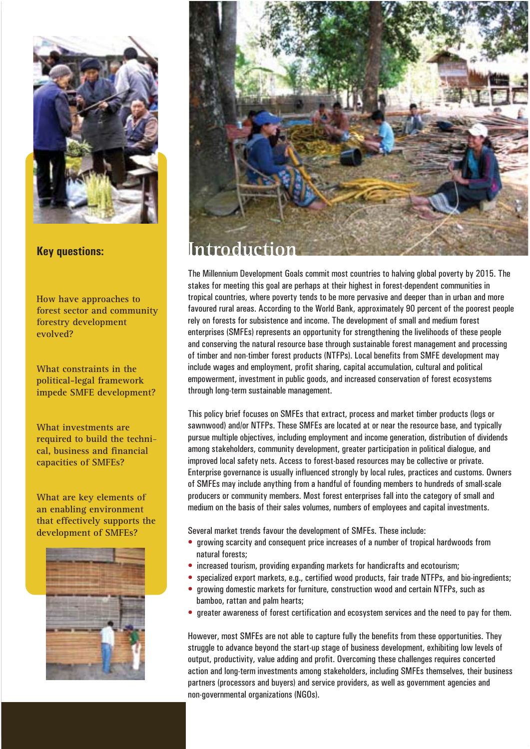

#### **Key questions:**

**How have approaches to forest sector and community forestry development evolved?**

**What constraints in the political-legal framework impede SMFE development?**

**What investments are required to build the technical, business and financial capacities of SMFEs?**

**What are key elements of an enabling environment that effectively supports the development of SMFEs?**





The Millennium Development Goals commit most countries to halving global poverty by 2015. The stakes for meeting this goal are perhaps at their highest in forest-dependent communities in tropical countries, where poverty tends to be more pervasive and deeper than in urban and more favoured rural areas. According to the World Bank, approximately 90 percent of the poorest people rely on forests for subsistence and income. The development of small and medium forest enterprises (SMFEs) represents an opportunity for strengthening the livelihoods of these people and conserving the natural resource base through sustainable forest management and processing of timber and non-timber forest products (NTFPs). Local benefits from SMFE development may include wages and employment, profit sharing, capital accumulation, cultural and political empowerment, investment in public goods, and increased conservation of forest ecosystems through long-term sustainable management.

This policy brief focuses on SMFEs that extract, process and market timber products (logs or sawnwood) and/or NTFPs. These SMFEs are located at or near the resource base, and typically pursue multiple objectives, including employment and income generation, distribution of dividends among stakeholders, community development, greater participation in political dialogue, and improved local safety nets. Access to forest-based resources may be collective or private. Enterprise governance is usually influenced strongly by local rules, practices and customs. Owners of SMFEs may include anything from a handful of founding members to hundreds of small-scale producers or community members. Most forest enterprises fall into the category of small and medium on the basis of their sales volumes, numbers of employees and capital investments.

Several market trends favour the development of SMFEs. These include:

- growing scarcity and consequent price increases of a number of tropical hardwoods from natural forests;
- increased tourism, providing expanding markets for handicrafts and ecotourism;
- specialized export markets, e.g., certified wood products, fair trade NTFPs, and bio-ingredients;
- growing domestic markets for furniture, construction wood and certain NTFPs, such as bamboo, rattan and palm hearts;
- greater awareness of forest certification and ecosystem services and the need to pay for them.

However, most SMFEs are not able to capture fully the benefits from these opportunities. They struggle to advance beyond the start-up stage of business development, exhibiting low levels of output, productivity, value adding and profit. Overcoming these challenges requires concerted action and long-term investments among stakeholders, including SMFEs themselves, their business partners (processors and buyers) and service providers, as well as government agencies and non-governmental organizations (NGOs).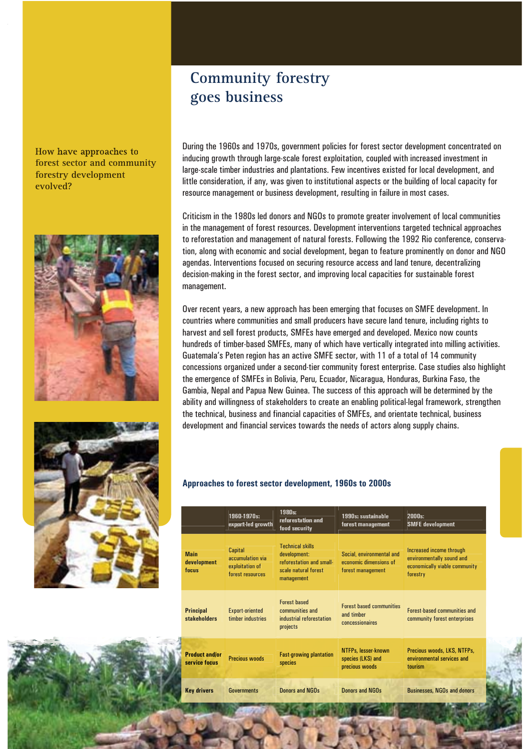#### How have approaches to **forest sector and community forestry development evolved?**





### **Community forestry goes business**

During the 1960s and 1970s, government policies for forest sector development concentrated on inducing growth through large-scale forest exploitation, coupled with increased investment in large-scale timber industries and plantations. Few incentives existed for local development, and little consideration, if any, was given to institutional aspects or the building of local capacity for resource management or business development, resulting in failure in most cases.

Criticism in the 1980s led donors and NGOs to promote greater involvement of local communities in the management of forest resources. Development interventions targeted technical approaches to reforestation and management of natural forests. Following the 1992 Rio conference, conservation, along with economic and social development, began to feature prominently on donor and NGO agendas. Interventions focused on securing resource access and land tenure, decentralizing decision-making in the forest sector, and improving local capacities for sustainable forest management.

Over recent years, a new approach has been emerging that focuses on SMFE development. In countries where communities and small producers have secure land tenure, including rights to harvest and sell forest products, SMFEs have emerged and developed. Mexico now counts hundreds of timber-based SMFEs, many of which have vertically integrated into milling activities. Guatemala's Peten region has an active SMFE sector, with 11 of a total of 14 community concessions organized under a second-tier community forest enterprise. Case studies also highlight the emergence of SMFEs in Bolivia, Peru, Ecuador, Nicaragua, Honduras, Burkina Faso, the Gambia, Nepal and Papua New Guinea. The success of this approach will be determined by the ability and willingness of stakeholders to create an enabling political-legal framework, strengthen the technical, business and financial capacities of SMFEs, and orientate technical, business development and financial services towards the needs of actors along supply chains.

#### **Approaches to forest sector development, 1960s to 2000s**

|                                        | 1960-1970s:<br>export-led growth                                   | 1980s:<br>reforestation and<br>food security                                                              | 1990s: sustainable<br>forest management                                  | 2000s<br><b>SMFE</b> development                                                                   |
|----------------------------------------|--------------------------------------------------------------------|-----------------------------------------------------------------------------------------------------------|--------------------------------------------------------------------------|----------------------------------------------------------------------------------------------------|
| <b>Main</b><br>development<br>focus    | Capital<br>accumulation via<br>exploitation of<br>forest resources | <b>Technical skills</b><br>development:<br>reforestation and small-<br>scale natural forest<br>management | Social, environmental and<br>economic dimensions of<br>forest management | Increased income through<br>environmentally sound and<br>economically viable community<br>forestry |
| <b>Principal</b><br>stakeholders       | <b>Export-oriented</b><br>timber industries                        | <b>Forest-based</b><br>communities and<br>industrial reforestation<br>projects                            | <b>Forest-based communities</b><br>and timber<br>concessionaires         | <b>Forest-based communities and</b><br>community forest enterprises                                |
| <b>Product and/or</b><br>service focus | <b>Precious woods</b>                                              | <b>Fast-growing plantation</b><br>species                                                                 | NTFPs, lesser-known<br>species (LKS) and<br>precious woods               | Precious woods, LKS, NTFPs,<br>environmental services and<br>tourism                               |
| <b>Key drivers</b>                     | <b>Governments</b>                                                 | Donors and NGOs                                                                                           | Donors and NGOs                                                          | <b>Businesses, NGOs and donors</b>                                                                 |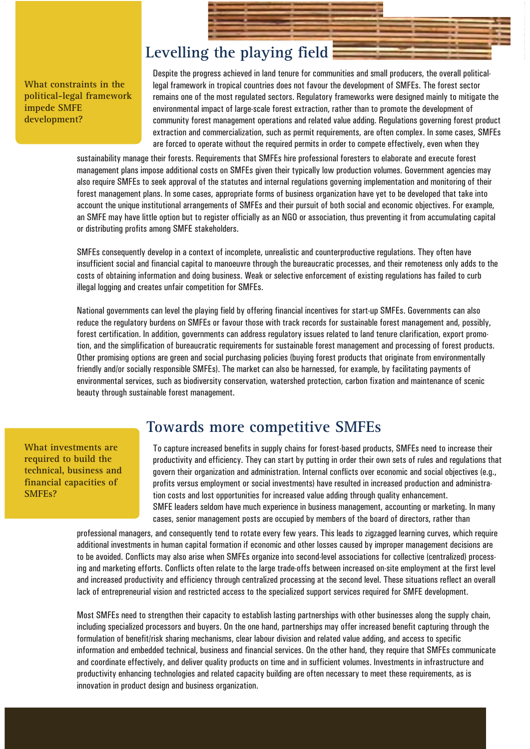### **Levelling the playing field**

**What constraints in the political-legal framework impede SMFE development?**

Despite the progress achieved in land tenure for communities and small producers, the overall politicallegal framework in tropical countries does not favour the development of SMFEs. The forest sector remains one of the most regulated sectors. Regulatory frameworks were designed mainly to mitigate the environmental impact of large-scale forest extraction, rather than to promote the development of community forest management operations and related value adding. Regulations governing forest product extraction and commercialization, such as permit requirements, are often complex. In some cases, SMFEs are forced to operate without the required permits in order to compete effectively, even when they

sustainability manage their forests. Requirements that SMFEs hire professional foresters to elaborate and execute forest management plans impose additional costs on SMFEs given their typically low production volumes. Government agencies may also require SMFEs to seek approval of the statutes and internal regulations governing implementation and monitoring of their forest management plans. In some cases, appropriate forms of business organization have yet to be developed that take into account the unique institutional arrangements of SMFEs and their pursuit of both social and economic objectives. For example, an SMFE may have little option but to register officially as an NGO or association, thus preventing it from accumulating capital or distributing profits among SMFE stakeholders.

SMFEs consequently develop in a context of incomplete, unrealistic and counterproductive regulations. They often have insufficient social and financial capital to manoeuvre through the bureaucratic processes, and their remoteness only adds to the costs of obtaining information and doing business. Weak or selective enforcement of existing regulations has failed to curb illegal logging and creates unfair competition for SMFEs.

National governments can level the playing field by offering financial incentives for start-up SMFEs. Governments can also reduce the regulatory burdens on SMFEs or favour those with track records for sustainable forest management and, possibly, forest certification. In addition, governments can address regulatory issues related to land tenure clarification, export promotion, and the simplification of bureaucratic requirements for sustainable forest management and processing of forest products. Other promising options are green and social purchasing policies (buying forest products that originate from environmentally friendly and/or socially responsible SMFEs). The market can also be harnessed, for example, by facilitating payments of environmental services, such as biodiversity conservation, watershed protection, carbon fixation and maintenance of scenic beauty through sustainable forest management.

**What investments are required to build the technical, business and financial capacities of SMFEs?**

### **Towards more competitive SMFEs**

To capture increased benefits in supply chains for forest-based products, SMFEs need to increase their productivity and efficiency. They can start by putting in order their own sets of rules and regulations that govern their organization and administration. Internal conflicts over economic and social objectives (e.g., profits versus employment or social investments) have resulted in increased production and administration costs and lost opportunities for increased value adding through quality enhancement. SMFE leaders seldom have much experience in business management, accounting or marketing. In many cases, senior management posts are occupied by members of the board of directors, rather than

professional managers, and consequently tend to rotate every few years. This leads to zigzagged learning curves, which require additional investments in human capital formation if economic and other losses caused by improper management decisions are to be avoided. Conflicts may also arise when SMFEs organize into second-level associations for collective (centralized) processing and marketing efforts. Conflicts often relate to the large trade-offs between increased on-site employment at the first level and increased productivity and efficiency through centralized processing at the second level. These situations reflect an overall lack of entrepreneurial vision and restricted access to the specialized support services required for SMFE development.

Most SMFEs need to strengthen their capacity to establish lasting partnerships with other businesses along the supply chain, including specialized processors and buyers. On the one hand, partnerships may offer increased benefit capturing through the formulation of benefit/risk sharing mechanisms, clear labour division and related value adding, and access to specific information and embedded technical, business and financial services. On the other hand, they require that SMFEs communicate and coordinate effectively, and deliver quality products on time and in sufficient volumes. Investments in infrastructure and productivity enhancing technologies and related capacity building are often necessary to meet these requirements, as is innovation in product design and business organization.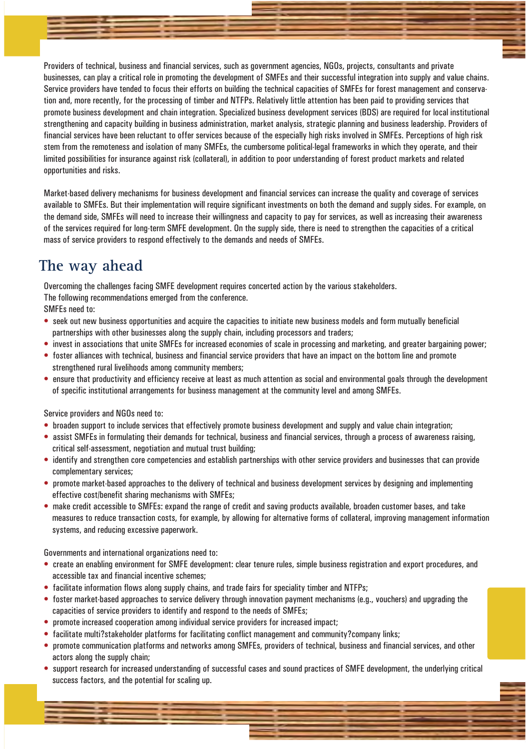Providers of technical, business and financial services, such as government agencies, NGOs, projects, consultants and private businesses, can play a critical role in promoting the development of SMFEs and their successful integration into supply and value chains. Service providers have tended to focus their efforts on building the technical capacities of SMFEs for forest management and conservation and, more recently, for the processing of timber and NTFPs. Relatively little attention has been paid to providing services that promote business development and chain integration. Specialized business development services (BDS) are required for local institutional strengthening and capacity building in business administration, market analysis, strategic planning and business leadership. Providers of financial services have been reluctant to offer services because of the especially high risks involved in SMFEs. Perceptions of high risk stem from the remoteness and isolation of many SMFEs, the cumbersome political-legal frameworks in which they operate, and their limited possibilities for insurance against risk (collateral), in addition to poor understanding of forest product markets and related opportunities and risks.

Market-based delivery mechanisms for business development and financial services can increase the quality and coverage of services available to SMFEs. But their implementation will require significant investments on both the demand and supply sides. For example, on the demand side, SMFEs will need to increase their willingness and capacity to pay for services, as well as increasing their awareness of the services required for long-term SMFE development. On the supply side, there is need to strengthen the capacities of a critical mass of service providers to respond effectively to the demands and needs of SMFEs.

### **The way ahead**

Overcoming the challenges facing SMFE development requires concerted action by the various stakeholders.

The following recommendations emerged from the conference.

SMFEs need to:

- seek out new business opportunities and acquire the capacities to initiate new business models and form mutually beneficial partnerships with other businesses along the supply chain, including processors and traders;
- invest in associations that unite SMFEs for increased economies of scale in processing and marketing, and greater bargaining power;
- foster alliances with technical, business and financial service providers that have an impact on the bottom line and promote strengthened rural livelihoods among community members;
- ensure that productivity and efficiency receive at least as much attention as social and environmental goals through the development of specific institutional arrangements for business management at the community level and among SMFEs.

Service providers and NGOs need to:

- broaden support to include services that effectively promote business development and supply and value chain integration;
- assist SMFEs in formulating their demands for technical, business and financial services, through a process of awareness raising, critical self-assessment, negotiation and mutual trust building;
- identify and strengthen core competencies and establish partnerships with other service providers and businesses that can provide complementary services;
- promote market-based approaches to the delivery of technical and business development services by designing and implementing effective cost/benefit sharing mechanisms with SMFEs;
- make credit accessible to SMFEs: expand the range of credit and saving products available, broaden customer bases, and take measures to reduce transaction costs, for example, by allowing for alternative forms of collateral, improving management information systems, and reducing excessive paperwork.

Governments and international organizations need to:

- create an enabling environment for SMFE development: clear tenure rules, simple business registration and export procedures, and accessible tax and financial incentive schemes;
- facilitate information flows along supply chains, and trade fairs for speciality timber and NTFPs;
- foster market-based approaches to service delivery through innovation payment mechanisms (e.g., vouchers) and upgrading the capacities of service providers to identify and respond to the needs of SMFEs;
- promote increased cooperation among individual service providers for increased impact;
- facilitate multi?stakeholder platforms for facilitating conflict management and community?company links;
- promote communication platforms and networks among SMFEs, providers of technical, business and financial services, and other actors along the supply chain;
- support research for increased understanding of successful cases and sound practices of SMFE development, the underlying critical success factors, and the potential for scaling up.